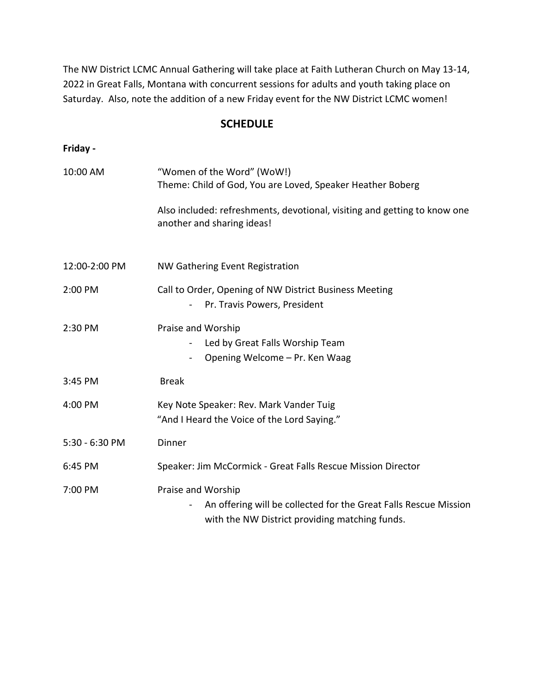The NW District LCMC Annual Gathering will take place at Faith Lutheran Church on May 13-14, 2022 in Great Falls, Montana with concurrent sessions for adults and youth taking place on Saturday. Also, note the addition of a new Friday event for the NW District LCMC women!

## **SCHEDULE**

## **Friday -**

| 10:00 AM       | "Women of the Word" (WoW!)<br>Theme: Child of God, You are Loved, Speaker Heather Boberg                                                 |
|----------------|------------------------------------------------------------------------------------------------------------------------------------------|
|                | Also included: refreshments, devotional, visiting and getting to know one<br>another and sharing ideas!                                  |
| 12:00-2:00 PM  | NW Gathering Event Registration                                                                                                          |
| 2:00 PM        | Call to Order, Opening of NW District Business Meeting<br>Pr. Travis Powers, President                                                   |
| 2:30 PM        | Praise and Worship<br>Led by Great Falls Worship Team<br>Opening Welcome - Pr. Ken Waag                                                  |
| 3:45 PM        | <b>Break</b>                                                                                                                             |
| 4:00 PM        | Key Note Speaker: Rev. Mark Vander Tuig<br>"And I Heard the Voice of the Lord Saying."                                                   |
| 5:30 - 6:30 PM | Dinner                                                                                                                                   |
| 6:45 PM        | Speaker: Jim McCormick - Great Falls Rescue Mission Director                                                                             |
| 7:00 PM        | Praise and Worship<br>An offering will be collected for the Great Falls Rescue Mission<br>with the NW District providing matching funds. |